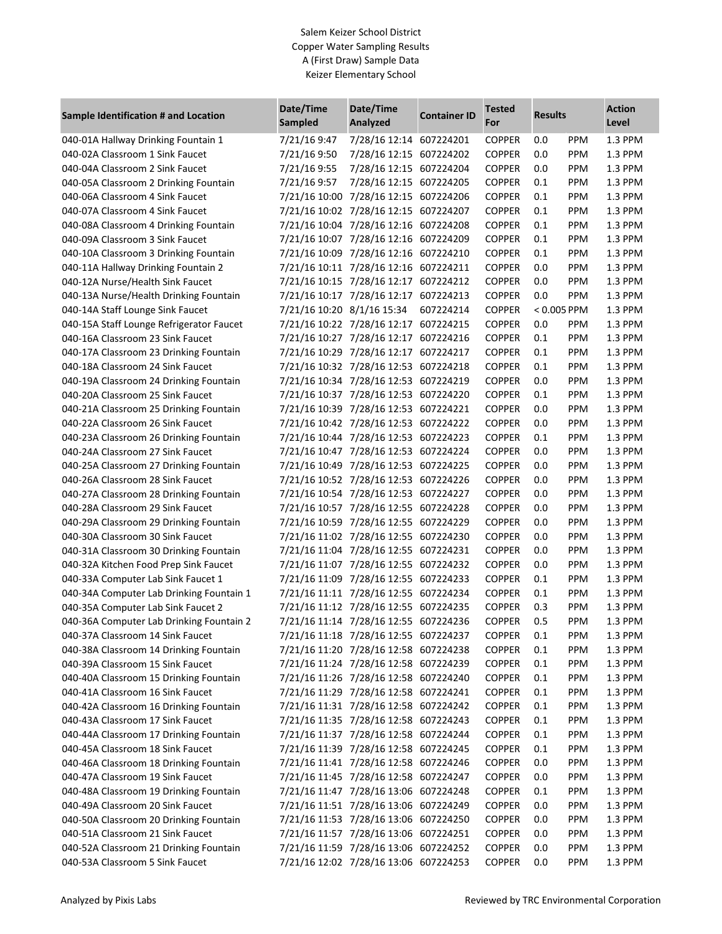### Salem Keizer School District Copper Water Sampling Results A (First Draw) Sample Data Keizer Elementary School

| Sample Identification # and Location     | Date/Time<br><b>Sampled</b> | Date/Time<br>Analyzed                 | <b>Container ID</b> | <b>Tested</b><br>For | <b>Results</b> |            | <b>Action</b><br>Level |
|------------------------------------------|-----------------------------|---------------------------------------|---------------------|----------------------|----------------|------------|------------------------|
| 040-01A Hallway Drinking Fountain 1      | 7/21/16 9:47                | 7/28/16 12:14 607224201               |                     | <b>COPPER</b>        | 0.0            | PPM        | 1.3 PPM                |
| 040-02A Classroom 1 Sink Faucet          | 7/21/16 9:50                | 7/28/16 12:15 607224202               |                     | <b>COPPER</b>        | 0.0            | PPM        | 1.3 PPM                |
| 040-04A Classroom 2 Sink Faucet          | 7/21/16 9:55                | 7/28/16 12:15 607224204               |                     | <b>COPPER</b>        | 0.0            | PPM        | 1.3 PPM                |
| 040-05A Classroom 2 Drinking Fountain    | 7/21/16 9:57                | 7/28/16 12:15 607224205               |                     | <b>COPPER</b>        | 0.1            | PPM        | 1.3 PPM                |
| 040-06A Classroom 4 Sink Faucet          |                             | 7/21/16 10:00 7/28/16 12:15 607224206 |                     | <b>COPPER</b>        | 0.1            | PPM        | 1.3 PPM                |
| 040-07A Classroom 4 Sink Faucet          |                             | 7/21/16 10:02 7/28/16 12:15 607224207 |                     | <b>COPPER</b>        | 0.1            | PPM        | 1.3 PPM                |
| 040-08A Classroom 4 Drinking Fountain    |                             | 7/21/16 10:04 7/28/16 12:16 607224208 |                     | <b>COPPER</b>        | 0.1            | PPM        | 1.3 PPM                |
| 040-09A Classroom 3 Sink Faucet          |                             | 7/21/16 10:07 7/28/16 12:16 607224209 |                     | <b>COPPER</b>        | 0.1            | PPM        | 1.3 PPM                |
| 040-10A Classroom 3 Drinking Fountain    |                             | 7/21/16 10:09 7/28/16 12:16 607224210 |                     | <b>COPPER</b>        | 0.1            | PPM        | 1.3 PPM                |
| 040-11A Hallway Drinking Fountain 2      |                             | 7/21/16 10:11 7/28/16 12:16 607224211 |                     | <b>COPPER</b>        | 0.0            | PPM        | 1.3 PPM                |
| 040-12A Nurse/Health Sink Faucet         |                             | 7/21/16 10:15 7/28/16 12:17 607224212 |                     | <b>COPPER</b>        | 0.0            | PPM        | 1.3 PPM                |
| 040-13A Nurse/Health Drinking Fountain   |                             | 7/21/16 10:17 7/28/16 12:17 607224213 |                     | <b>COPPER</b>        | 0.0            | PPM        | 1.3 PPM                |
| 040-14A Staff Lounge Sink Faucet         | 7/21/16 10:20 8/1/16 15:34  |                                       | 607224214           | <b>COPPER</b>        | $< 0.005$ PPM  |            | 1.3 PPM                |
| 040-15A Staff Lounge Refrigerator Faucet |                             | 7/21/16 10:22 7/28/16 12:17 607224215 |                     | <b>COPPER</b>        | 0.0            | PPM        | 1.3 PPM                |
| 040-16A Classroom 23 Sink Faucet         |                             | 7/21/16 10:27 7/28/16 12:17 607224216 |                     | <b>COPPER</b>        | 0.1            | PPM        | 1.3 PPM                |
| 040-17A Classroom 23 Drinking Fountain   |                             | 7/21/16 10:29 7/28/16 12:17 607224217 |                     | <b>COPPER</b>        | 0.1            | PPM        | 1.3 PPM                |
| 040-18A Classroom 24 Sink Faucet         |                             | 7/21/16 10:32 7/28/16 12:53 607224218 |                     | <b>COPPER</b>        | 0.1            | PPM        | 1.3 PPM                |
| 040-19A Classroom 24 Drinking Fountain   |                             | 7/21/16 10:34 7/28/16 12:53 607224219 |                     | <b>COPPER</b>        | 0.0            | PPM        | 1.3 PPM                |
| 040-20A Classroom 25 Sink Faucet         |                             | 7/21/16 10:37 7/28/16 12:53 607224220 |                     | <b>COPPER</b>        | 0.1            | PPM        | 1.3 PPM                |
| 040-21A Classroom 25 Drinking Fountain   |                             | 7/21/16 10:39 7/28/16 12:53 607224221 |                     | <b>COPPER</b>        | 0.0            | PPM        | 1.3 PPM                |
| 040-22A Classroom 26 Sink Faucet         |                             | 7/21/16 10:42 7/28/16 12:53 607224222 |                     | <b>COPPER</b>        | 0.0            | PPM        | 1.3 PPM                |
| 040-23A Classroom 26 Drinking Fountain   |                             | 7/21/16 10:44 7/28/16 12:53 607224223 |                     | <b>COPPER</b>        | 0.1            | PPM        | 1.3 PPM                |
| 040-24A Classroom 27 Sink Faucet         |                             | 7/21/16 10:47 7/28/16 12:53 607224224 |                     | <b>COPPER</b>        | 0.0            | PPM        | 1.3 PPM                |
| 040-25A Classroom 27 Drinking Fountain   |                             | 7/21/16 10:49 7/28/16 12:53 607224225 |                     | <b>COPPER</b>        | 0.0            | PPM        | 1.3 PPM                |
| 040-26A Classroom 28 Sink Faucet         |                             | 7/21/16 10:52 7/28/16 12:53 607224226 |                     | <b>COPPER</b>        | 0.0            | PPM        | 1.3 PPM                |
| 040-27A Classroom 28 Drinking Fountain   |                             | 7/21/16 10:54 7/28/16 12:53 607224227 |                     | <b>COPPER</b>        | 0.0            | PPM        | 1.3 PPM                |
| 040-28A Classroom 29 Sink Faucet         |                             | 7/21/16 10:57 7/28/16 12:55 607224228 |                     | <b>COPPER</b>        | 0.0            | PPM        | 1.3 PPM                |
| 040-29A Classroom 29 Drinking Fountain   |                             | 7/21/16 10:59 7/28/16 12:55 607224229 |                     | <b>COPPER</b>        | 0.0            | PPM        | 1.3 PPM                |
| 040-30A Classroom 30 Sink Faucet         |                             | 7/21/16 11:02 7/28/16 12:55 607224230 |                     | <b>COPPER</b>        | 0.0            | PPM        | 1.3 PPM                |
| 040-31A Classroom 30 Drinking Fountain   |                             | 7/21/16 11:04 7/28/16 12:55 607224231 |                     | <b>COPPER</b>        | 0.0            | PPM        | 1.3 PPM                |
| 040-32A Kitchen Food Prep Sink Faucet    |                             | 7/21/16 11:07 7/28/16 12:55 607224232 |                     | <b>COPPER</b>        | 0.0            | PPM        | 1.3 PPM                |
| 040-33A Computer Lab Sink Faucet 1       |                             | 7/21/16 11:09 7/28/16 12:55 607224233 |                     | <b>COPPER</b>        | 0.1            | PPM        | 1.3 PPM                |
| 040-34A Computer Lab Drinking Fountain 1 |                             | 7/21/16 11:11 7/28/16 12:55 607224234 |                     | <b>COPPER</b>        | 0.1            | PPM        | 1.3 PPM                |
| 040-35A Computer Lab Sink Faucet 2       |                             | 7/21/16 11:12 7/28/16 12:55 607224235 |                     | <b>COPPER</b>        | 0.3            | PPM        | 1.3 PPM                |
| 040-36A Computer Lab Drinking Fountain 2 |                             | 7/21/16 11:14 7/28/16 12:55 607224236 |                     | <b>COPPER</b>        | 0.5            | PPM        | 1.3 PPM                |
| 040-37A Classroom 14 Sink Faucet         |                             | 7/21/16 11:18 7/28/16 12:55 607224237 |                     | <b>COPPER</b>        | 0.1            | <b>PPM</b> | 1.3 PPM                |
| 040-38A Classroom 14 Drinking Fountain   |                             | 7/21/16 11:20 7/28/16 12:58 607224238 |                     | <b>COPPER</b>        | 0.1            | PPM        | 1.3 PPM                |
| 040-39A Classroom 15 Sink Faucet         |                             | 7/21/16 11:24 7/28/16 12:58 607224239 |                     | <b>COPPER</b>        | 0.1            | PPM        | 1.3 PPM                |
| 040-40A Classroom 15 Drinking Fountain   |                             | 7/21/16 11:26 7/28/16 12:58 607224240 |                     | <b>COPPER</b>        | 0.1            | PPM        | 1.3 PPM                |
| 040-41A Classroom 16 Sink Faucet         |                             | 7/21/16 11:29 7/28/16 12:58 607224241 |                     | <b>COPPER</b>        | 0.1            | PPM        | 1.3 PPM                |
| 040-42A Classroom 16 Drinking Fountain   |                             | 7/21/16 11:31 7/28/16 12:58 607224242 |                     | <b>COPPER</b>        | 0.1            | PPM        | 1.3 PPM                |
| 040-43A Classroom 17 Sink Faucet         |                             | 7/21/16 11:35 7/28/16 12:58 607224243 |                     | <b>COPPER</b>        | 0.1            | PPM        | 1.3 PPM                |
| 040-44A Classroom 17 Drinking Fountain   |                             | 7/21/16 11:37 7/28/16 12:58 607224244 |                     | <b>COPPER</b>        | 0.1            | PPM        | 1.3 PPM                |
| 040-45A Classroom 18 Sink Faucet         |                             | 7/21/16 11:39 7/28/16 12:58 607224245 |                     | <b>COPPER</b>        | 0.1            | PPM        | 1.3 PPM                |
| 040-46A Classroom 18 Drinking Fountain   |                             | 7/21/16 11:41 7/28/16 12:58 607224246 |                     | <b>COPPER</b>        | 0.0            | PPM        | 1.3 PPM                |
| 040-47A Classroom 19 Sink Faucet         |                             | 7/21/16 11:45 7/28/16 12:58 607224247 |                     | COPPER               | 0.0            | PPM        | 1.3 PPM                |
| 040-48A Classroom 19 Drinking Fountain   |                             | 7/21/16 11:47 7/28/16 13:06 607224248 |                     | COPPER               | 0.1            | PPM        |                        |
| 040-49A Classroom 20 Sink Faucet         |                             | 7/21/16 11:51 7/28/16 13:06 607224249 |                     | <b>COPPER</b>        | 0.0            | PPM        | 1.3 PPM                |
| 040-50A Classroom 20 Drinking Fountain   |                             | 7/21/16 11:53 7/28/16 13:06 607224250 |                     | <b>COPPER</b>        | 0.0            | PPM        | 1.3 PPM<br>1.3 PPM     |
| 040-51A Classroom 21 Sink Faucet         |                             | 7/21/16 11:57 7/28/16 13:06 607224251 |                     | <b>COPPER</b>        | 0.0            | PPM        | 1.3 PPM                |
| 040-52A Classroom 21 Drinking Fountain   |                             | 7/21/16 11:59 7/28/16 13:06 607224252 |                     | <b>COPPER</b>        | 0.0            | PPM        |                        |
| 040-53A Classroom 5 Sink Faucet          |                             | 7/21/16 12:02 7/28/16 13:06 607224253 |                     | <b>COPPER</b>        | 0.0            | PPM        | 1.3 PPM<br>1.3 PPM     |
|                                          |                             |                                       |                     |                      |                |            |                        |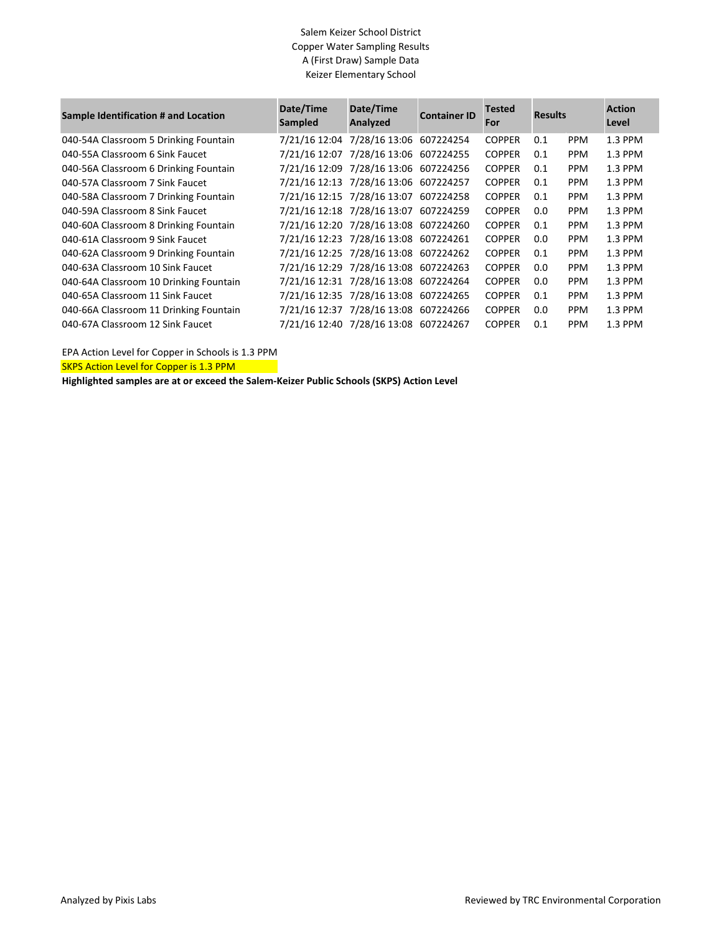### Salem Keizer School District Copper Water Sampling Results A (First Draw) Sample Data Keizer Elementary School

| Sample Identification # and Location   | Date/Time<br>Sampled | Date/Time<br>Analyzed                 | <b>Container ID</b> | <b>Tested</b><br>For | <b>Results</b> |            | <b>Action</b><br>Level |
|----------------------------------------|----------------------|---------------------------------------|---------------------|----------------------|----------------|------------|------------------------|
| 040-54A Classroom 5 Drinking Fountain  |                      | 7/21/16 12:04 7/28/16 13:06 607224254 |                     | <b>COPPER</b>        | 0.1            | <b>PPM</b> | 1.3 PPM                |
| 040-55A Classroom 6 Sink Faucet        |                      | 7/21/16 12:07 7/28/16 13:06 607224255 |                     | <b>COPPER</b>        | 0.1            | <b>PPM</b> | 1.3 PPM                |
| 040-56A Classroom 6 Drinking Fountain  |                      | 7/21/16 12:09 7/28/16 13:06 607224256 |                     | <b>COPPER</b>        | 0.1            | <b>PPM</b> | 1.3 PPM                |
| 040-57A Classroom 7 Sink Faucet        |                      | 7/21/16 12:13 7/28/16 13:06 607224257 |                     | <b>COPPER</b>        | 0.1            | <b>PPM</b> | 1.3 PPM                |
| 040-58A Classroom 7 Drinking Fountain  |                      | 7/21/16 12:15 7/28/16 13:07 607224258 |                     | <b>COPPER</b>        | 0.1            | <b>PPM</b> | 1.3 PPM                |
| 040-59A Classroom 8 Sink Faucet        |                      | 7/21/16 12:18 7/28/16 13:07 607224259 |                     | <b>COPPER</b>        | 0.0            | <b>PPM</b> | 1.3 PPM                |
| 040-60A Classroom 8 Drinking Fountain  |                      | 7/21/16 12:20 7/28/16 13:08 607224260 |                     | <b>COPPER</b>        | 0.1            | <b>PPM</b> | 1.3 PPM                |
| 040-61A Classroom 9 Sink Faucet        |                      | 7/21/16 12:23 7/28/16 13:08 607224261 |                     | <b>COPPER</b>        | 0.0            | <b>PPM</b> | 1.3 PPM                |
| 040-62A Classroom 9 Drinking Fountain  |                      | 7/21/16 12:25 7/28/16 13:08 607224262 |                     | <b>COPPER</b>        | 0.1            | <b>PPM</b> | 1.3 PPM                |
| 040-63A Classroom 10 Sink Faucet       |                      | 7/21/16 12:29 7/28/16 13:08 607224263 |                     | <b>COPPER</b>        | 0.0            | <b>PPM</b> | 1.3 PPM                |
| 040-64A Classroom 10 Drinking Fountain |                      | 7/21/16 12:31 7/28/16 13:08 607224264 |                     | <b>COPPER</b>        | 0.0            | <b>PPM</b> | 1.3 PPM                |
| 040-65A Classroom 11 Sink Faucet       |                      | 7/21/16 12:35 7/28/16 13:08 607224265 |                     | <b>COPPER</b>        | 0.1            | <b>PPM</b> | 1.3 PPM                |
| 040-66A Classroom 11 Drinking Fountain |                      | 7/21/16 12:37 7/28/16 13:08 607224266 |                     | <b>COPPER</b>        | 0.0            | <b>PPM</b> | 1.3 PPM                |
| 040-67A Classroom 12 Sink Faucet       |                      | 7/21/16 12:40 7/28/16 13:08 607224267 |                     | <b>COPPER</b>        | 0.1            | <b>PPM</b> | 1.3 PPM                |

EPA Action Level for Copper in Schools is 1.3 PPM

SKPS Action Level for Copper is 1.3 PPM

**Highlighted samples are at or exceed the Salem-Keizer Public Schools (SKPS) Action Level**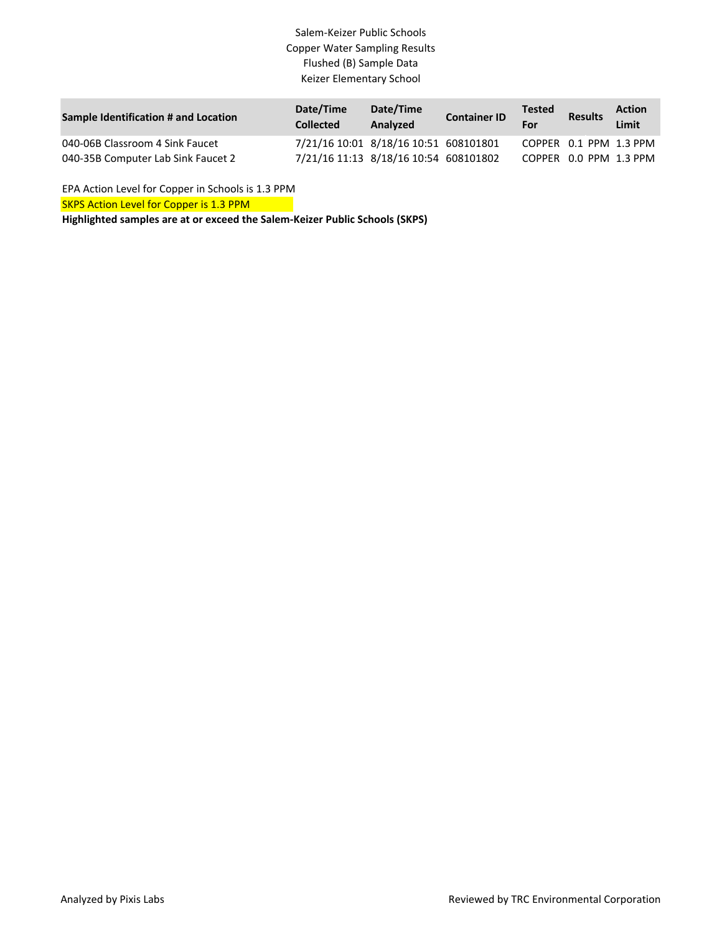### Salem-Keizer Public Schools Copper Water Sampling Results Flushed (B) Sample Data Keizer Elementary School

| Sample Identification # and Location | Date/Time<br><b>Collected</b> | Date/Time<br>Analyzed                 | <b>Container ID</b> | <b>Tested</b><br>For | <b>Results</b>         | <b>Action</b><br>Limit |
|--------------------------------------|-------------------------------|---------------------------------------|---------------------|----------------------|------------------------|------------------------|
| 040-06B Classroom 4 Sink Faucet      |                               | 7/21/16 10:01 8/18/16 10:51 608101801 |                     |                      | COPPER 0.1 PPM 1.3 PPM |                        |
| 040-35B Computer Lab Sink Faucet 2   |                               | 7/21/16 11:13 8/18/16 10:54 608101802 |                     |                      | COPPER 0.0 PPM 1.3 PPM |                        |

EPA Action Level for Copper in Schools is 1.3 PPM

**SKPS Action Level for Copper is 1.3 PPM** 

**Highlighted samples are at or exceed the Salem-Keizer Public Schools (SKPS)**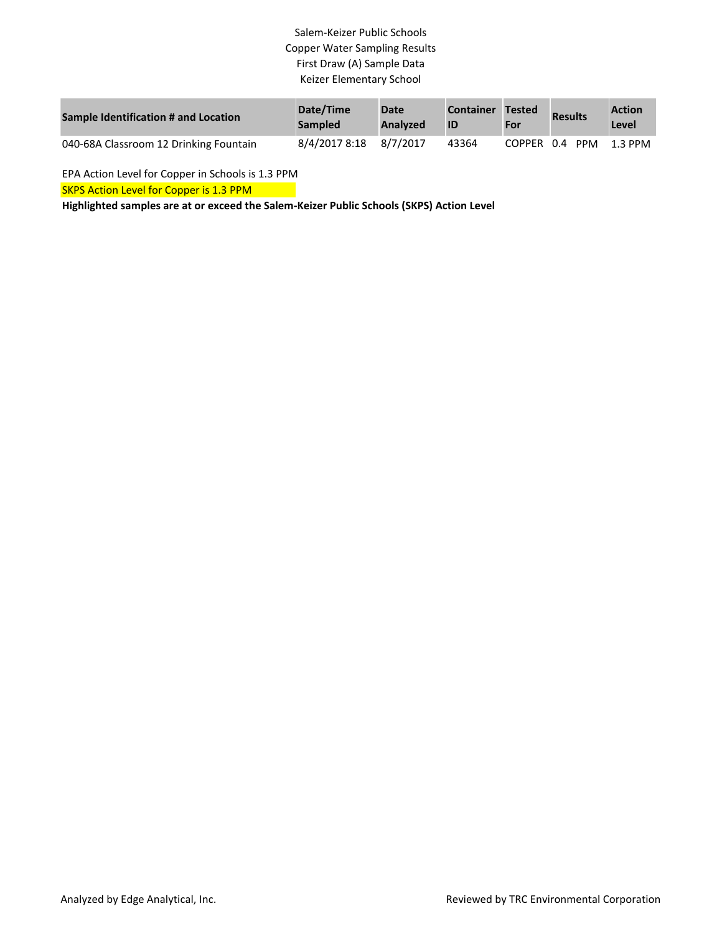# Salem-Keizer Public Schools Copper Water Sampling Results First Draw (A) Sample Data Keizer Elementary School

| Sample Identification # and Location   | Date/Time<br><b>Sampled</b> | <b>Date</b><br><b>Analyzed</b> | <b>Container</b><br>ID | <b>Tested</b><br>For | <b>Results</b> | <b>Action</b><br>Level |
|----------------------------------------|-----------------------------|--------------------------------|------------------------|----------------------|----------------|------------------------|
| 040-68A Classroom 12 Drinking Fountain | 8/4/2017 8:18               | 8/7/2017                       | 43364                  |                      | COPPER 0.4 PPM | 1.3 PPM                |

EPA Action Level for Copper in Schools is 1.3 PPM

SKPS Action Level for Copper is 1.3 PPM

**Highlighted samples are at or exceed the Salem-Keizer Public Schools (SKPS) Action Level**